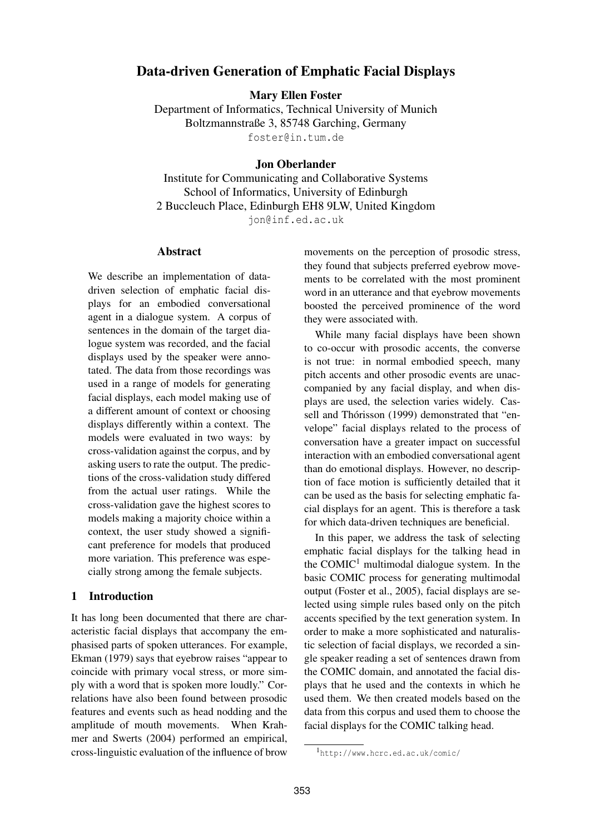# Data-driven Generation of Emphatic Facial Displays

Mary Ellen Foster

Department of Informatics, Technical University of Munich Boltzmannstraße 3, 85748 Garching, Germany foster@in.tum.de

#### Jon Oberlander

Institute for Communicating and Collaborative Systems School of Informatics, University of Edinburgh 2 Buccleuch Place, Edinburgh EH8 9LW, United Kingdom jon@inf.ed.ac.uk

#### Abstract

We describe an implementation of datadriven selection of emphatic facial displays for an embodied conversational agent in a dialogue system. A corpus of sentences in the domain of the target dialogue system was recorded, and the facial displays used by the speaker were annotated. The data from those recordings was used in a range of models for generating facial displays, each model making use of a different amount of context or choosing displays differently within a context. The models were evaluated in two ways: by cross-validation against the corpus, and by asking users to rate the output. The predictions of the cross-validation study differed from the actual user ratings. While the cross-validation gave the highest scores to models making a majority choice within a context, the user study showed a significant preference for models that produced more variation. This preference was especially strong among the female subjects.

## 1 Introduction

It has long been documented that there are characteristic facial displays that accompany the emphasised parts of spoken utterances. For example, Ekman (1979) says that eyebrow raises "appear to coincide with primary vocal stress, or more simply with a word that is spoken more loudly." Correlations have also been found between prosodic features and events such as head nodding and the amplitude of mouth movements. When Krahmer and Swerts (2004) performed an empirical, cross-linguistic evaluation of the influence of brow movements on the perception of prosodic stress, they found that subjects preferred eyebrow movements to be correlated with the most prominent word in an utterance and that eyebrow movements boosted the perceived prominence of the word they were associated with.

While many facial displays have been shown to co-occur with prosodic accents, the converse is not true: in normal embodied speech, many pitch accents and other prosodic events are unaccompanied by any facial display, and when displays are used, the selection varies widely. Cassell and Thórisson (1999) demonstrated that "envelope" facial displays related to the process of conversation have a greater impact on successful interaction with an embodied conversational agent than do emotional displays. However, no description of face motion is sufficiently detailed that it can be used as the basis for selecting emphatic facial displays for an agent. This is therefore a task for which data-driven techniques are beneficial.

In this paper, we address the task of selecting emphatic facial displays for the talking head in the  $COMIC<sup>1</sup>$  multimodal dialogue system. In the basic COMIC process for generating multimodal output (Foster et al., 2005), facial displays are selected using simple rules based only on the pitch accents specified by the text generation system. In order to make a more sophisticated and naturalistic selection of facial displays, we recorded a single speaker reading a set of sentences drawn from the COMIC domain, and annotated the facial displays that he used and the contexts in which he used them. We then created models based on the data from this corpus and used them to choose the facial displays for the COMIC talking head.

<sup>1</sup>http://www.hcrc.ed.ac.uk/comic/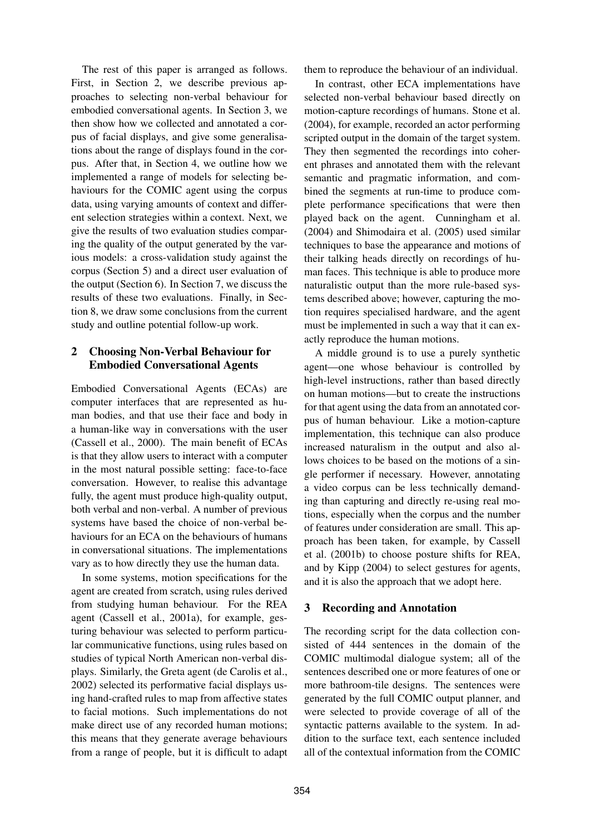The rest of this paper is arranged as follows. First, in Section 2, we describe previous approaches to selecting non-verbal behaviour for embodied conversational agents. In Section 3, we then show how we collected and annotated a corpus of facial displays, and give some generalisations about the range of displays found in the corpus. After that, in Section 4, we outline how we implemented a range of models for selecting behaviours for the COMIC agent using the corpus data, using varying amounts of context and different selection strategies within a context. Next, we give the results of two evaluation studies comparing the quality of the output generated by the various models: a cross-validation study against the corpus (Section 5) and a direct user evaluation of the output (Section 6). In Section 7, we discuss the results of these two evaluations. Finally, in Section 8, we draw some conclusions from the current study and outline potential follow-up work.

## 2 Choosing Non-Verbal Behaviour for Embodied Conversational Agents

Embodied Conversational Agents (ECAs) are computer interfaces that are represented as human bodies, and that use their face and body in a human-like way in conversations with the user (Cassell et al., 2000). The main benefit of ECAs is that they allow users to interact with a computer in the most natural possible setting: face-to-face conversation. However, to realise this advantage fully, the agent must produce high-quality output, both verbal and non-verbal. A number of previous systems have based the choice of non-verbal behaviours for an ECA on the behaviours of humans in conversational situations. The implementations vary as to how directly they use the human data.

In some systems, motion specifications for the agent are created from scratch, using rules derived from studying human behaviour. For the REA agent (Cassell et al., 2001a), for example, gesturing behaviour was selected to perform particular communicative functions, using rules based on studies of typical North American non-verbal displays. Similarly, the Greta agent (de Carolis et al., 2002) selected its performative facial displays using hand-crafted rules to map from affective states to facial motions. Such implementations do not make direct use of any recorded human motions; this means that they generate average behaviours from a range of people, but it is difficult to adapt them to reproduce the behaviour of an individual.

In contrast, other ECA implementations have selected non-verbal behaviour based directly on motion-capture recordings of humans. Stone et al. (2004), for example, recorded an actor performing scripted output in the domain of the target system. They then segmented the recordings into coherent phrases and annotated them with the relevant semantic and pragmatic information, and combined the segments at run-time to produce complete performance specifications that were then played back on the agent. Cunningham et al. (2004) and Shimodaira et al. (2005) used similar techniques to base the appearance and motions of their talking heads directly on recordings of human faces. This technique is able to produce more naturalistic output than the more rule-based systems described above; however, capturing the motion requires specialised hardware, and the agent must be implemented in such a way that it can exactly reproduce the human motions.

A middle ground is to use a purely synthetic agent—one whose behaviour is controlled by high-level instructions, rather than based directly on human motions—but to create the instructions for that agent using the data from an annotated corpus of human behaviour. Like a motion-capture implementation, this technique can also produce increased naturalism in the output and also allows choices to be based on the motions of a single performer if necessary. However, annotating a video corpus can be less technically demanding than capturing and directly re-using real motions, especially when the corpus and the number of features under consideration are small. This approach has been taken, for example, by Cassell et al. (2001b) to choose posture shifts for REA, and by Kipp (2004) to select gestures for agents, and it is also the approach that we adopt here.

## 3 Recording and Annotation

The recording script for the data collection consisted of 444 sentences in the domain of the COMIC multimodal dialogue system; all of the sentences described one or more features of one or more bathroom-tile designs. The sentences were generated by the full COMIC output planner, and were selected to provide coverage of all of the syntactic patterns available to the system. In addition to the surface text, each sentence included all of the contextual information from the COMIC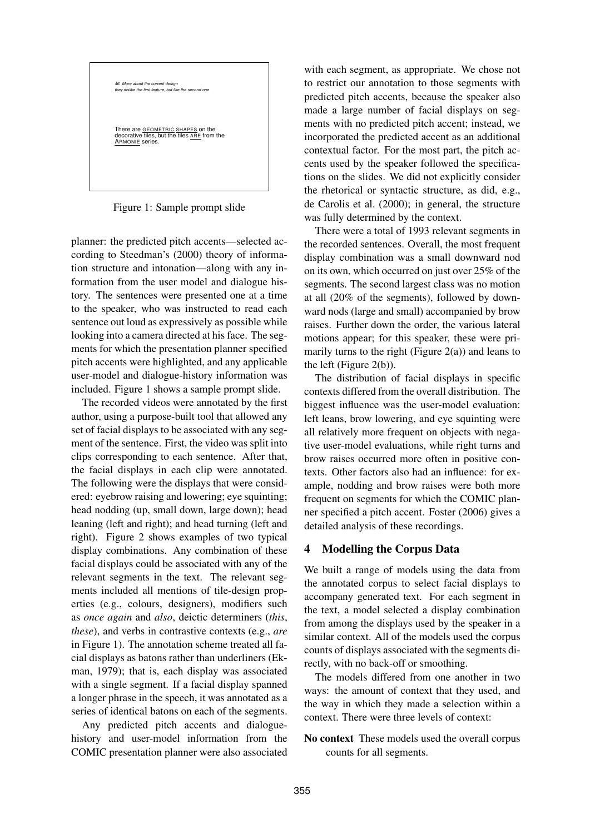

Figure 1: Sample prompt slide

planner: the predicted pitch accents—selected according to Steedman's (2000) theory of information structure and intonation—along with any information from the user model and dialogue history. The sentences were presented one at a time to the speaker, who was instructed to read each sentence out loud as expressively as possible while looking into a camera directed at his face. The segments for which the presentation planner specified pitch accents were highlighted, and any applicable user-model and dialogue-history information was included. Figure 1 shows a sample prompt slide.

The recorded videos were annotated by the first author, using a purpose-built tool that allowed any set of facial displays to be associated with any segment of the sentence. First, the video was split into clips corresponding to each sentence. After that, the facial displays in each clip were annotated. The following were the displays that were considered: eyebrow raising and lowering; eye squinting; head nodding (up, small down, large down); head leaning (left and right); and head turning (left and right). Figure 2 shows examples of two typical display combinations. Any combination of these facial displays could be associated with any of the relevant segments in the text. The relevant segments included all mentions of tile-design properties (e.g., colours, designers), modifiers such as *once again* and *also*, deictic determiners (*this*, *these*), and verbs in contrastive contexts (e.g., *are* in Figure 1). The annotation scheme treated all facial displays as batons rather than underliners (Ekman, 1979); that is, each display was associated with a single segment. If a facial display spanned a longer phrase in the speech, it was annotated as a series of identical batons on each of the segments.

Any predicted pitch accents and dialoguehistory and user-model information from the COMIC presentation planner were also associated

with each segment, as appropriate. We chose not to restrict our annotation to those segments with predicted pitch accents, because the speaker also made a large number of facial displays on segments with no predicted pitch accent; instead, we incorporated the predicted accent as an additional contextual factor. For the most part, the pitch accents used by the speaker followed the specifications on the slides. We did not explicitly consider the rhetorical or syntactic structure, as did, e.g., de Carolis et al. (2000); in general, the structure was fully determined by the context.

There were a total of 1993 relevant segments in the recorded sentences. Overall, the most frequent display combination was a small downward nod on its own, which occurred on just over 25% of the segments. The second largest class was no motion at all (20% of the segments), followed by downward nods (large and small) accompanied by brow raises. Further down the order, the various lateral motions appear; for this speaker, these were primarily turns to the right (Figure  $2(a)$ ) and leans to the left (Figure 2(b)).

The distribution of facial displays in specific contexts differed from the overall distribution. The biggest influence was the user-model evaluation: left leans, brow lowering, and eye squinting were all relatively more frequent on objects with negative user-model evaluations, while right turns and brow raises occurred more often in positive contexts. Other factors also had an influence: for example, nodding and brow raises were both more frequent on segments for which the COMIC planner specified a pitch accent. Foster (2006) gives a detailed analysis of these recordings.

## 4 Modelling the Corpus Data

We built a range of models using the data from the annotated corpus to select facial displays to accompany generated text. For each segment in the text, a model selected a display combination from among the displays used by the speaker in a similar context. All of the models used the corpus counts of displays associated with the segments directly, with no back-off or smoothing.

The models differed from one another in two ways: the amount of context that they used, and the way in which they made a selection within a context. There were three levels of context:

No context These models used the overall corpus counts for all segments.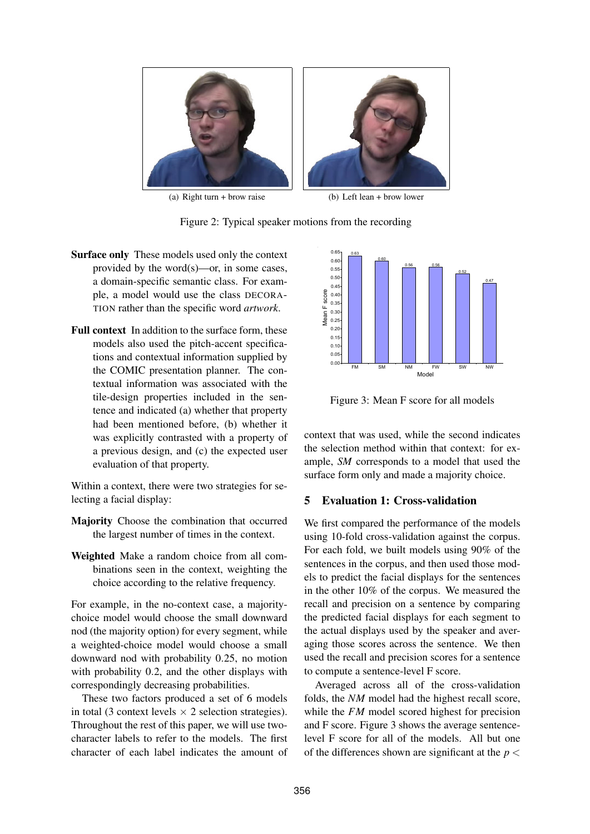

(a) Right turn + brow raise (b) Left lean + brow lower



- Surface only These models used only the context provided by the word(s)—or, in some cases, a domain-specific semantic class. For example, a model would use the class DECORA-TION rather than the specific word *artwork*.
- Full context In addition to the surface form, these models also used the pitch-accent specifications and contextual information supplied by the COMIC presentation planner. The contextual information was associated with the tile-design properties included in the sentence and indicated (a) whether that property had been mentioned before, (b) whether it was explicitly contrasted with a property of a previous design, and (c) the expected user evaluation of that property.

Within a context, there were two strategies for selecting a facial display:

- Majority Choose the combination that occurred the largest number of times in the context.
- Weighted Make a random choice from all combinations seen in the context, weighting the choice according to the relative frequency.

For example, in the no-context case, a majoritychoice model would choose the small downward nod (the majority option) for every segment, while a weighted-choice model would choose a small downward nod with probability 0.25, no motion with probability 0.2, and the other displays with correspondingly decreasing probabilities.

These two factors produced a set of 6 models in total (3 context levels  $\times$  2 selection strategies). Throughout the rest of this paper, we will use twocharacter labels to refer to the models. The first character of each label indicates the amount of



Figure 3: Mean F score for all models

context that was used, while the second indicates the selection method within that context: for example, *SM* corresponds to a model that used the surface form only and made a majority choice.

## 5 Evaluation 1: Cross-validation

We first compared the performance of the models using 10-fold cross-validation against the corpus. For each fold, we built models using 90% of the sentences in the corpus, and then used those models to predict the facial displays for the sentences in the other 10% of the corpus. We measured the recall and precision on a sentence by comparing the predicted facial displays for each segment to the actual displays used by the speaker and averaging those scores across the sentence. We then used the recall and precision scores for a sentence to compute a sentence-level F score.

Averaged across all of the cross-validation folds, the *NM* model had the highest recall score, while the *FM* model scored highest for precision and F score. Figure 3 shows the average sentencelevel F score for all of the models. All but one of the differences shown are significant at the  $p <$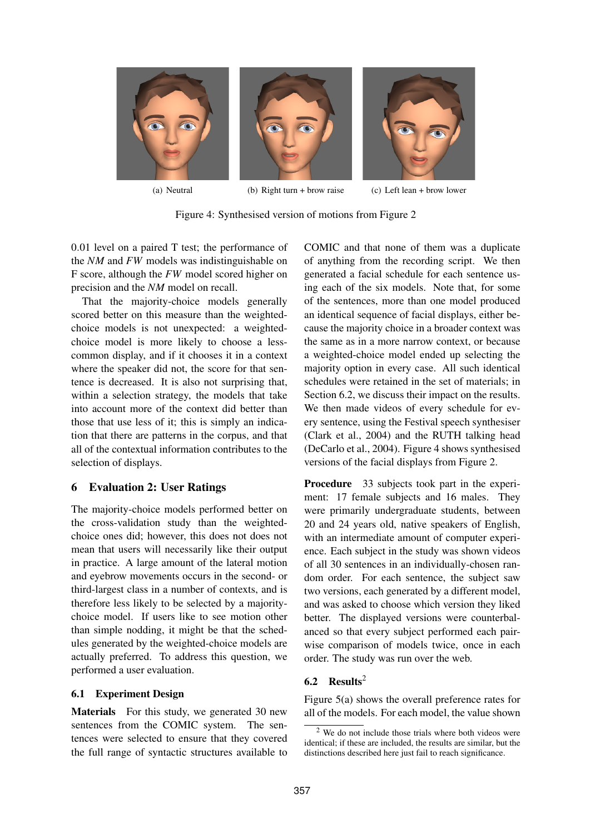

(a) Neutral (b) Right turn + brow raise (c) Left lean + brow lower

Figure 4: Synthesised version of motions from Figure 2

0.01 level on a paired T test; the performance of the *NM* and *FW* models was indistinguishable on F score, although the *FW* model scored higher on precision and the *NM* model on recall.

That the majority-choice models generally scored better on this measure than the weightedchoice models is not unexpected: a weightedchoice model is more likely to choose a lesscommon display, and if it chooses it in a context where the speaker did not, the score for that sentence is decreased. It is also not surprising that, within a selection strategy, the models that take into account more of the context did better than those that use less of it; this is simply an indication that there are patterns in the corpus, and that all of the contextual information contributes to the selection of displays.

## 6 Evaluation 2: User Ratings

The majority-choice models performed better on the cross-validation study than the weightedchoice ones did; however, this does not does not mean that users will necessarily like their output in practice. A large amount of the lateral motion and eyebrow movements occurs in the second- or third-largest class in a number of contexts, and is therefore less likely to be selected by a majoritychoice model. If users like to see motion other than simple nodding, it might be that the schedules generated by the weighted-choice models are actually preferred. To address this question, we performed a user evaluation.

## 6.1 Experiment Design

Materials For this study, we generated 30 new sentences from the COMIC system. The sentences were selected to ensure that they covered the full range of syntactic structures available to COMIC and that none of them was a duplicate of anything from the recording script. We then generated a facial schedule for each sentence using each of the six models. Note that, for some of the sentences, more than one model produced an identical sequence of facial displays, either because the majority choice in a broader context was the same as in a more narrow context, or because a weighted-choice model ended up selecting the majority option in every case. All such identical schedules were retained in the set of materials; in Section 6.2, we discuss their impact on the results. We then made videos of every schedule for every sentence, using the Festival speech synthesiser (Clark et al., 2004) and the RUTH talking head (DeCarlo et al., 2004). Figure 4 shows synthesised versions of the facial displays from Figure 2.

Procedure 33 subjects took part in the experiment: 17 female subjects and 16 males. They were primarily undergraduate students, between 20 and 24 years old, native speakers of English, with an intermediate amount of computer experience. Each subject in the study was shown videos of all 30 sentences in an individually-chosen random order. For each sentence, the subject saw two versions, each generated by a different model, and was asked to choose which version they liked better. The displayed versions were counterbalanced so that every subject performed each pairwise comparison of models twice, once in each order. The study was run over the web.

## 6.2 Results<sup>2</sup>

Figure 5(a) shows the overall preference rates for all of the models. For each model, the value shown

 $2$  We do not include those trials where both videos were identical; if these are included, the results are similar, but the distinctions described here just fail to reach significance.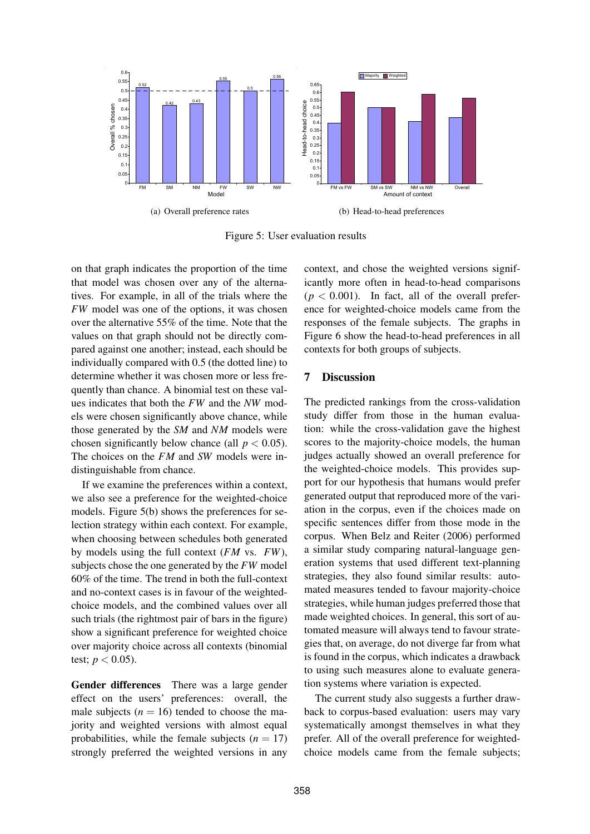

Figure 5: User evaluation results

on that graph indicates the proportion of the time that model was chosen over any of the alternatives. For example, in all of the trials where the *FW* model was one of the options, it was chosen over the alternative 55% of the time. Note that the values on that graph should not be directly compared against one another; instead, each should be individually compared with 0.5 (the dotted line) to determine whether it was chosen more or less frequently than chance. A binomial test on these values indicates that both the *FW* and the *NW* models were chosen significantly above chance, while those generated by the *SM* and *NM* models were chosen significantly below chance (all  $p < 0.05$ ). The choices on the *FM* and *SW* models were indistinguishable from chance.

If we examine the preferences within a context, we also see a preference for the weighted-choice models. Figure 5(b) shows the preferences for selection strategy within each context. For example, when choosing between schedules both generated by models using the full context (*FM* vs. *FW*), subjects chose the one generated by the *FW* model 60% of the time. The trend in both the full-context and no-context cases is in favour of the weightedchoice models, and the combined values over all such trials (the rightmost pair of bars in the figure) show a significant preference for weighted choice over majority choice across all contexts (binomial test;  $p < 0.05$ ).

Gender differences There was a large gender effect on the users' preferences: overall, the male subjects  $(n = 16)$  tended to choose the majority and weighted versions with almost equal probabilities, while the female subjects  $(n = 17)$ strongly preferred the weighted versions in any

context, and chose the weighted versions significantly more often in head-to-head comparisons  $(p < 0.001)$ . In fact, all of the overall preference for weighted-choice models came from the responses of the female subjects. The graphs in Figure 6 show the head-to-head preferences in all contexts for both groups of subjects.

#### 7 Discussion

The predicted rankings from the cross-validation study differ from those in the human evaluation: while the cross-validation gave the highest scores to the majority-choice models, the human judges actually showed an overall preference for the weighted-choice models. This provides support for our hypothesis that humans would prefer generated output that reproduced more of the variation in the corpus, even if the choices made on specific sentences differ from those mode in the corpus. When Belz and Reiter (2006) performed a similar study comparing natural-language generation systems that used different text-planning strategies, they also found similar results: automated measures tended to favour majority-choice strategies, while human judges preferred those that made weighted choices. In general, this sort of automated measure will always tend to favour strategies that, on average, do not diverge far from what is found in the corpus, which indicates a drawback to using such measures alone to evaluate generation systems where variation is expected.

The current study also suggests a further drawback to corpus-based evaluation: users may vary systematically amongst themselves in what they prefer. All of the overall preference for weightedchoice models came from the female subjects;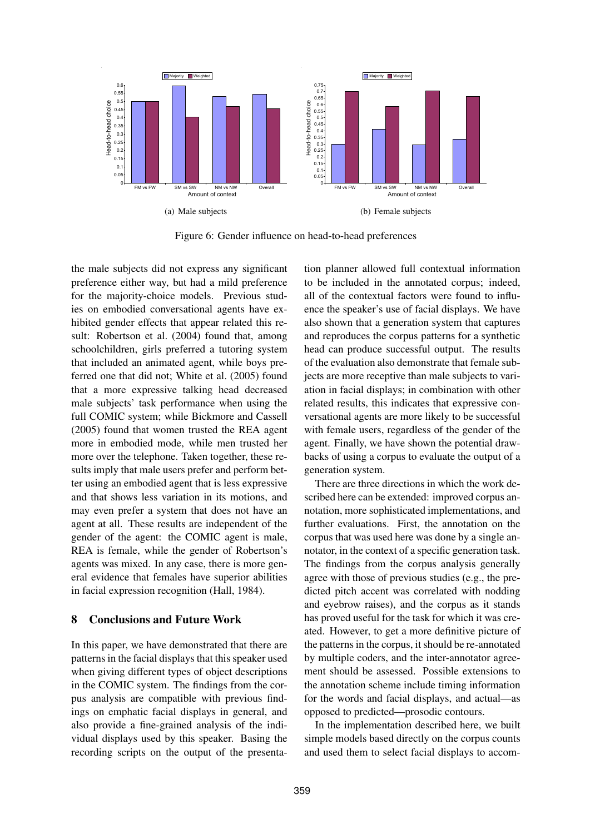

Figure 6: Gender influence on head-to-head preferences

the male subjects did not express any significant preference either way, but had a mild preference for the majority-choice models. Previous studies on embodied conversational agents have exhibited gender effects that appear related this result: Robertson et al. (2004) found that, among schoolchildren, girls preferred a tutoring system that included an animated agent, while boys preferred one that did not; White et al. (2005) found that a more expressive talking head decreased male subjects' task performance when using the full COMIC system; while Bickmore and Cassell (2005) found that women trusted the REA agent more in embodied mode, while men trusted her more over the telephone. Taken together, these results imply that male users prefer and perform better using an embodied agent that is less expressive and that shows less variation in its motions, and may even prefer a system that does not have an agent at all. These results are independent of the gender of the agent: the COMIC agent is male, REA is female, while the gender of Robertson's agents was mixed. In any case, there is more general evidence that females have superior abilities in facial expression recognition (Hall, 1984).

## 8 Conclusions and Future Work

In this paper, we have demonstrated that there are patterns in the facial displays that this speaker used when giving different types of object descriptions in the COMIC system. The findings from the corpus analysis are compatible with previous findings on emphatic facial displays in general, and also provide a fine-grained analysis of the individual displays used by this speaker. Basing the recording scripts on the output of the presenta-

tion planner allowed full contextual information to be included in the annotated corpus; indeed, all of the contextual factors were found to influence the speaker's use of facial displays. We have also shown that a generation system that captures and reproduces the corpus patterns for a synthetic head can produce successful output. The results of the evaluation also demonstrate that female subjects are more receptive than male subjects to variation in facial displays; in combination with other related results, this indicates that expressive conversational agents are more likely to be successful with female users, regardless of the gender of the agent. Finally, we have shown the potential drawbacks of using a corpus to evaluate the output of a generation system.

There are three directions in which the work described here can be extended: improved corpus annotation, more sophisticated implementations, and further evaluations. First, the annotation on the corpus that was used here was done by a single annotator, in the context of a specific generation task. The findings from the corpus analysis generally agree with those of previous studies (e.g., the predicted pitch accent was correlated with nodding and eyebrow raises), and the corpus as it stands has proved useful for the task for which it was created. However, to get a more definitive picture of the patterns in the corpus, it should be re-annotated by multiple coders, and the inter-annotator agreement should be assessed. Possible extensions to the annotation scheme include timing information for the words and facial displays, and actual—as opposed to predicted—prosodic contours.

In the implementation described here, we built simple models based directly on the corpus counts and used them to select facial displays to accom